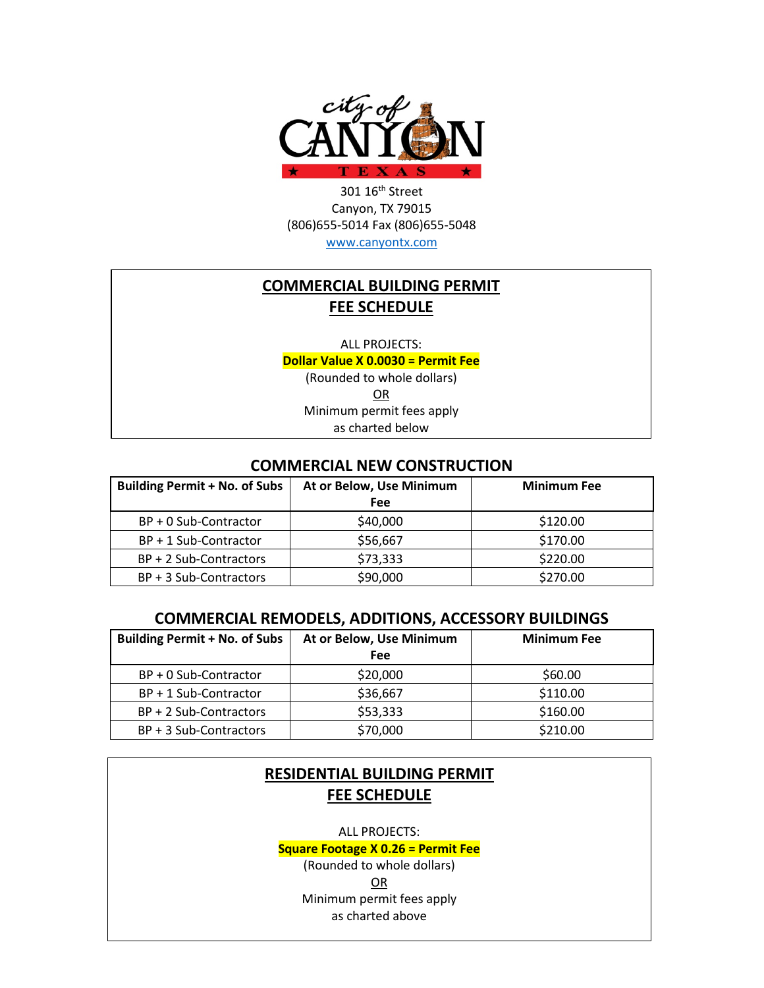

301 16th Street Canyon, TX 79015 (806)655-5014 Fax (806)655-5048 [www.canyontx.com](http://www.canyontx.com/)

## **COMMERCIAL BUILDING PERMIT FEE SCHEDULE**

ALL PROJECTS:

**Dollar Value X 0.0030 = Permit Fee**

(Rounded to whole dollars) OR Minimum permit fees apply as charted below

#### **COMMERCIAL NEW CONSTRUCTION**

| <b>Building Permit + No. of Subs</b> | At or Below, Use Minimum | <b>Minimum Fee</b> |
|--------------------------------------|--------------------------|--------------------|
|                                      | Fee                      |                    |
| BP + 0 Sub-Contractor                | \$40,000                 | \$120.00           |
| $BP + 1 Sub-Contractor$              | \$56,667                 | \$170.00           |
| BP + 2 Sub-Contractors               | \$73,333                 | \$220.00           |
| BP + 3 Sub-Contractors               | \$90,000                 | \$270.00           |

### **COMMERCIAL REMODELS, ADDITIONS, ACCESSORY BUILDINGS**

| <b>Building Permit + No. of Subs</b> | At or Below, Use Minimum | <b>Minimum Fee</b> |
|--------------------------------------|--------------------------|--------------------|
|                                      | Fee                      |                    |
| BP + 0 Sub-Contractor                | \$20,000                 | \$60.00            |
| $BP + 1 Sub-Contractor$              | \$36,667                 | \$110.00           |
| BP + 2 Sub-Contractors               | \$53,333                 | \$160.00           |
| BP + 3 Sub-Contractors               | \$70,000                 | \$210.00           |

# **RESIDENTIAL BUILDING PERMIT FEE SCHEDULE**

ALL PROJECTS:

**Square Footage X 0.26 = Permit Fee**

(Rounded to whole dollars) OR Minimum permit fees apply as charted above